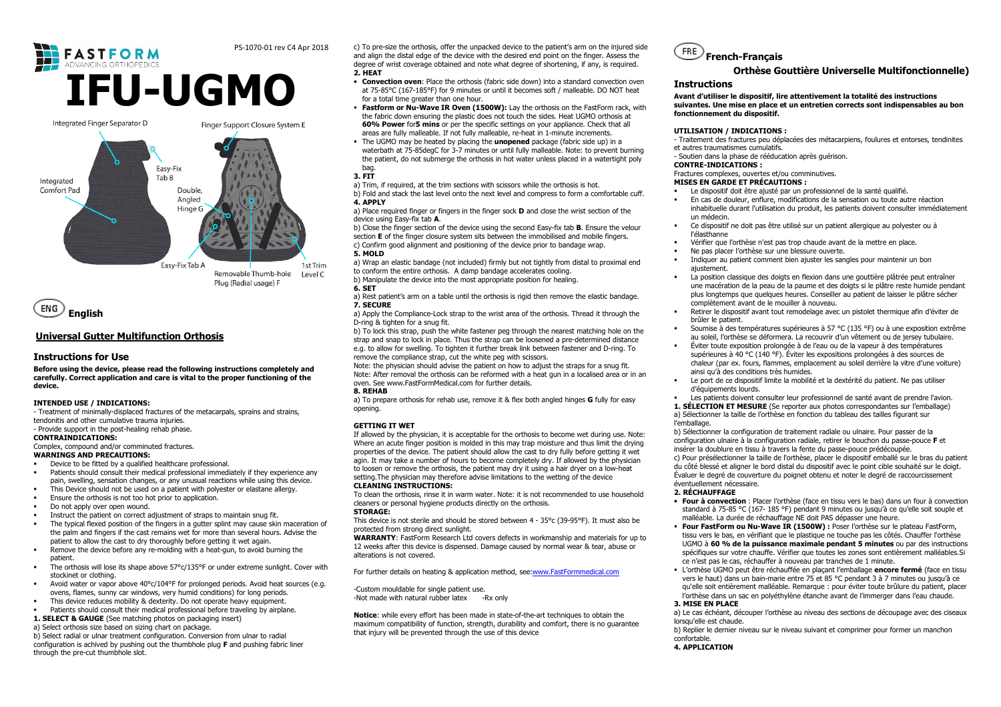#### PS-1070-01 rev C4 Apr 2018

# **FASTFORM IFU-UGMO**Integrated Finger Separator D Finger Support Closure System E





# **Universal Gutter Multifunction Orthosis**

# **Instructions for Use**

 **Before using the device, please read the following instructions completely and carefully. Correct application and care is vital to the proper functioning of the** device.

#### **INTENDED USE / INDICATIONS:**

 - Treatment of minimally-displaced fractures of the metacarpals, sprains and strains, tendonitis and other cumulative trauma injuries.

#### - Provide support in the post-healing rehab phase.

**CONTRAINDICATIONS:** 

# Complex, compound and/or comminuted fractures.

**WARNINGS AND PRECAUTIONS:** 

- Device to be fitted by a qualified healthcare professional.  $\blacksquare$
- Patients should consult their medical professional immediately if they experience any pain, swelling, sensation changes, or any unusual reactions while using this device.
- This Device should not be used on a patient with polyester or elastane allergy.
- г Ensure the orthosis is not too hot prior to application.
- $\blacksquare$ Do not apply over open wound.
- Instruct the patient on correct adjustment of straps to maintain snug fit.
- г The typical flexed position of the fingers in a gutter splint may cause skin maceration of the palm and fingers if the cast remains wet for more than several hours. Advise the patient to allow the cast to dry thoroughly before getting it wet again.
- Remove the device before any re-molding with a heat-gun, to avoid burning the г patient.
- The orthosis will lose its shape above 57°c/135°F or under extreme sunlight. Cover with stockinet or clothing.
- Avoid water or vapor above 40°c/104°F for prolonged periods. Avoid heat sources (e.g. ovens, flames, sunny car windows, very humid conditions) for long periods.
- г This device reduces mobility & dexterity. Do not operate heavy equipment.
- Patients should consult their medical professional before traveling by airplane.
- **1. SELECT & GAUGE** (See matching photos on packaging insert)

a) Select orthosis size based on sizing chart on package.

 b) Select radial or ulnar treatment configuration. Conversion from ulnar to radial configuration is achived by pushing out the thumbhole plug **F** and pushing fabric liner through the pre-cut thumbhole slot.

c) To pre-size the orthosis, offer the unpacked device to the patient's arm on the injured side and align the distal edge of the device with the desired end point on the finger. Assess the degree of wrist coverage obtained and note what degree of shortening, if any, is required. **2. HEAT** 

- **Convection oven**: Place the orthosis (fabric side down) into a standard convection oven at 75-85°C (167-185°F) for 9 minutes or until it becomes soft / malleable. DO NOT heat for a total time greater than one hour.
- **Fastform or Nu-Wave IR Oven (1500W):** Lay the orthosis on the FastForm rack, with the fabric down ensuring the plastic does not touch the sides. Heat UGMO orthosis at **60% Power** for**5 mins** or per the specific settings on your appliance. Check that all areas are fully malleable. If not fully malleable, re-heat in 1-minute increments.
- The UGMO may be heated by placing the **unopened** package (fabric side up) in a waterbath at 75-85degC for 3-7 minutes or until fully malleable. Note: to prevent burning the patient, do not submerge the orthosis in hot water unless placed in a watertight poly bag.

#### **3. FIT**

 a) Trim, if required, at the trim sections with scissors while the orthosis is hot. b) Fold and stack the last level onto the next level and compress to form a comfortable cuff. **4. APPLY** 

 a) Place required finger or fingers in the finger sock **D** and close the wrist section of the device using Easy-fix tab **A**.

 b) Close the finger section of the device using the second Easy-fix tab **B**. Ensure the velour section **E** of the finger closure system sits between the immobilised and mobile fingers. c) Confirm good alignment and positioning of the device prior to bandage wrap. **5. MOLD** 

 a) Wrap an elastic bandage (not included) firmly but not tightly from distal to proximal end to conform the entire orthosis. A damp bandage accelerates cooling.

- b) Manipulate the device into the most appropriate position for healing.
- **6. SET**
- a) Rest patient's arm on a table until the orthosis is rigid then remove the elastic bandage. **7. SECURE**

 a) Apply the Compliance-Lock strap to the wrist area of the orthosis. Thread it through the D-ring & tighten for a snug fit.

 b) To lock this strap, push the white fastener peg through the nearest matching hole on the strap and snap to lock in place. Thus the strap can be loosened a pre-determined distance e.g. to allow for swelling. To tighten it further break link between fastener and D-ring. To remove the compliance strap, cut the white peg with scissors.

 Note: the physician should advise the patient on how to adjust the straps for a snug fit. Note: After removal the orthosis can be reformed with a heat gun in a localised area or in an oven. See www.FastFormMedical.com for further details.

#### **8. REHAB**

 a) To prepare orthosis for rehab use, remove it & flex both angled hinges **G** fully for easy opening.

#### **GETTING IT WET**

 If allowed by the physician, it is acceptable for the orthosis to become wet during use. Note: Where an acute finger position is molded in this may trap moisture and thus limit the drying properties of the device. The patient should allow the cast to dry fully before getting it wet agin. It may take a number of hours to become completely dry. If allowed by the physician to loosen or remove the orthosis, the patient may dry it using a hair dryer on a low-heat setting.The physician may therefore advise limitations to the wetting of the device **CLEANING INSTRUCTIONS:** 

 To clean the orthosis, rinse it in warm water. Note: it is not recommended to use household cleaners or personal hygiene products directly on the orthosis.

#### **STORAGE:**

 This device is not sterile and should be stored between 4 - 35°c (39-95°F). It must also be protected from strong direct sunlight.

 **WARRANTY**: FastForm Research Ltd covers defects in workmanship and materials for up to 12 weeks after this device is dispensed. Damage caused by normal wear & tear, abuse or alterations is not covered.

For further details on heating & application method, see:www.FastFormmedical.com

-Custom mouldable for single patient use. -Not made with natural rubber latex -Rx only

**Notice**: while every effort has been made in state-of-the-art techniques to obtain the maximum compatibility of function, strength, durability and comfort, there is no guarantee that injury will be prevented through the use of this device

### FRE **French-Français**

## **Orthèse Gouttière Universelle Multifonctionnelle)**

#### **Instructions**

 **Avant d'utiliser le dispositif, lire attentivement la totalité des instructions suivantes. Une mise en place et un entretien corrects sont indispensables au bon fonctionnement du dispositif.** 

#### **UTILISATION / INDICATIONS :**

 - Traitement des fractures peu déplacées des métacarpiens, foulures et entorses, tendinites et autres traumatismes cumulatifs.

- Soutien dans la phase de rééducation après guérison.

#### **CONTRE-INDICATIONS :**

#### Fractures complexes, ouvertes et/ou comminutives.

### **MISES EN GARDE ET PRÉCAUTIONS :**

- Le dispositif doit être ajusté par un professionnel de la santé qualifié.
- En cas de douleur, enflure, modifications de la sensation ou toute autre réaction inhabituelle durant l'utilisation du produit, les patients doivent consulter immédiatement un médecin.
- Ce dispositif ne doit pas être utilisé sur un patient allergique au polyester ou à l'élasthanne
- Vérifier que l'orthèse n'est pas trop chaude avant de la mettre en place.
- Ne pas placer l'orthèse sur une blessure ouverte.
- Indiquer au patient comment bien ajuster les sangles pour maintenir un bon ajustement.
- La position classique des doigts en flexion dans une gouttière plâtrée peut entraîner une macération de la peau de la paume et des doigts si le plâtre reste humide pendant plus longtemps que quelques heures. Conseiller au patient de laisser le plâtre sécher complètement avant de le mouiller à nouveau.
- Retirer le dispositif avant tout remodelage avec un pistolet thermique afin d'éviter de brûler le patient.
- Soumise à des températures supérieures à 57 °C (135 °F) ou à une exposition extrême au soleil, l'orthèse se déformera. La recouvrir d'un vêtement ou de jersey tubulaire.
- Éviter toute exposition prolongée à de l'eau ou de la vapeur à des températures supérieures à 40 °C (140 °F). Éviter les expositions prolongées à des sources de chaleur (par ex. fours, flammes, emplacement au soleil derrière la vitre d'une voiture) ainsi qu'à des conditions très humides.
- Le port de ce dispositif limite la mobilité et la dextérité du patient. Ne pas utiliser г d'équipements lourds.
- Les patients doivent consulter leur professionnel de santé avant de prendre l'avion. Ш
- **1. SÉLECTION ET MESURE** (Se reporter aux photos correspondantes sur l'emballage) a) Sélectionner la taille de l'orthèse en fonction du tableau des tailles figurant sur l'emballage.

 b) Sélectionner la configuration de traitement radiale ou ulnaire. Pour passer de la configuration ulnaire à la configuration radiale, retirer le bouchon du passe-pouce **F** et insérer la doublure en tissu à travers la fente du passe-pouce prédécoupée. c) Pour présélectionner la taille de l'orthèse, placer le dispositif emballé sur le bras du patient du côté blessé et aligner le bord distal du dispositif avec le point cible souhaité sur le doigt.<br>Évaluer le degré de couverture du poignet obtenu et noter le degré de raccourcissement éventuellement nécessaire.

#### **2. RÉCHAUFFAGE**

г

- **Four à convection** : Placer l'orthèse (face en tissu vers le bas) dans un four à convection standard à 75-85 °C (167- 185 °F) pendant 9 minutes ou jusqu'à ce qu'elle soit souple et malléable. La durée de réchauffage NE doit PAS dépasser une heure.
- **Four FastForm ou Nu-Wave IR (1500W) :** Poser l'orthèse sur le plateau FastForm, tissu vers le bas, en vérifiant que le plastique ne touche pas les côtés. Chauffer l'orthèse UGMO à **60 % de la puissance maximale pendant 5 minutes** ou par des instructions spécifiques sur votre chauffe. Vérifier que toutes les zones sont entièrement malléables.Si ce n'est pas le cas, réchauffer à nouveau par tranches de 1 minute.
- L'orthèse UGMO peut être réchauffée en plaçant l'emballage **encore fermé** (face en tissu vers le haut) dans un bain-marie entre 75 et 85 °C pendant 3 à 7 minutes ou jusqu'à ce qu'elle soit entièrement malléable. Remarque : pour éviter toute brûlure du patient, placer l'orthèse dans un sac en polyéthylène étanche avant de l'immerger dans l'eau chaude.

# **3. MISE EN PLACE**

 a) Le cas échéant, découper l'orthèse au niveau des sections de découpage avec des ciseaux lorsqu'elle est chaude.

 b) Replier le dernier niveau sur le niveau suivant et comprimer pour former un manchon confortable.

**4. APPLICATION**